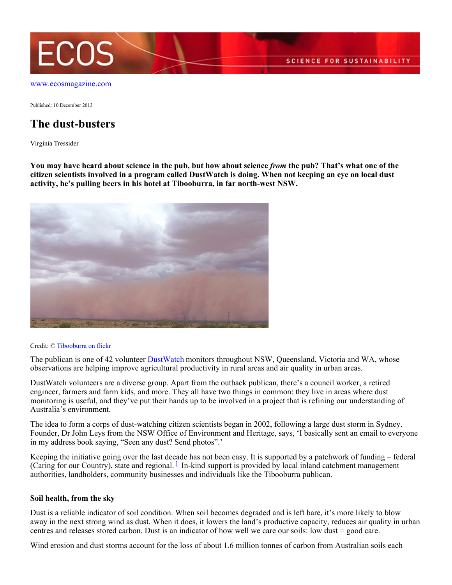

[www.ecosmagazine.com](http://www.ecosmagazine.com)

Published: 10 December 2013

## **The dust-busters**

Virginia Tressider

**You may have heard about science in the pub, but how about science** *from* **the pub? That's what one of the citizen scientists involved in a program called DustWatch is doing. When not keeping an eye on local dust activity, he's pulling beers in his hotel at Tibooburra, in far north-west NSW.**



Credit: © [Tibooburra on flickr](http://www.flickr.com/photos/tibooburra)

The publican is one of 42 volunteer [DustWatch](http://www.environment.nsw.gov.au/dustwatch/) monitors throughout NSW, Queensland, Victoria and WA, whose observations are helping improve agricultural productivity in rural areas and air quality in urban areas.

DustWatch volunteers are a diverse group. Apart from the outback publican, there's a council worker, a retired engineer, farmers and farm kids, and more. They all have two things in common: they live in areas where dust monitoring is useful, and they've put their hands up to be involved in a project that is refining our understanding of Australia's environment.

The idea to form a corps of dust-watching citizen scientists began in 2002, following a large dust storm in Sydney. Founder, Dr John Leys from the NSW Office of Environment and Heritage, says, 'I basically sent an email to everyone in my address book saying, "Seen any dust? Send photos".'

Keeping the initiative going over the last decade has not been easy. It is supported by a patchwork of funding – federal (Caring for our Country), state and regional.  $1$  In-kind support is provided by local inland catchment management authorities, landholders, community businesses and individuals like the Tibooburra publican.

## **Soil health, from the sky**

Dust is a reliable indicator of soil condition. When soil becomes degraded and is left bare, it's more likely to blow away in the next strong wind as dust. When it does, it lowers the land's productive capacity, reduces air quality in urban centres and releases stored carbon. Dust is an indicator of how well we care our soils: low dust = good care.

Wind erosion and dust storms account for the loss of about 1.6 million tonnes of carbon from Australian soils each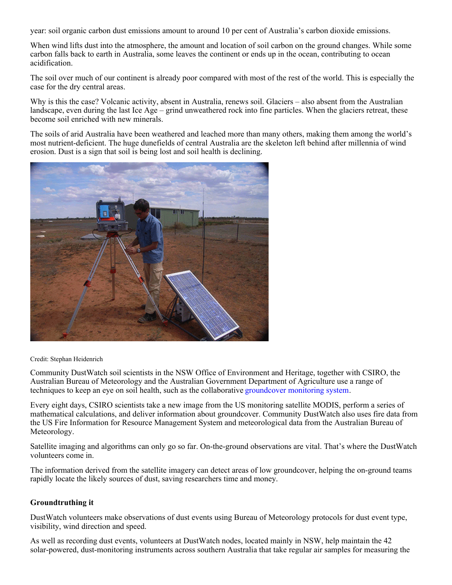year: soil organic carbon dust emissions amount to around 10 per cent of Australia's carbon dioxide emissions.

When wind lifts dust into the atmosphere, the amount and location of soil carbon on the ground changes. While some carbon falls back to earth in Australia, some leaves the continent or ends up in the ocean, contributing to ocean acidification.

The soil over much of our continent is already poor compared with most of the rest of the world. This is especially the case for the dry central areas.

Why is this the case? Volcanic activity, absent in Australia, renews soil. Glaciers – also absent from the Australian landscape, even during the last Ice Age – grind unweathered rock into fine particles. When the glaciers retreat, these become soil enriched with new minerals.

The soils of arid Australia have been weathered and leached more than many others, making them among the world's most nutrient-deficient. The huge dunefields of central Australia are the skeleton left behind after millennia of wind erosion. Dust is a sign that soil is being lost and soil health is declining.



Credit: Stephan Heidenrich

Community DustWatch soil scientists in the NSW Office of Environment and Heritage, together with CSIRO, the Australian Bureau of Meteorology and the Australian Government Department of Agriculture use a range of techniques to keep an eye on soil health, such as the collaborative [groundcover monitoring system](http://www.daff.gov.au/natural-resources/soils/monitoring/ground-cover-monitoring-for-australia).

Every eight days, CSIRO scientists take a new image from the US monitoring satellite MODIS, perform a series of mathematical calculations, and deliver information about groundcover. Community DustWatch also uses fire data from the US Fire Information for Resource Management System and meteorological data from the Australian Bureau of Meteorology.

Satellite imaging and algorithms can only go so far. On-the-ground observations are vital. That's where the DustWatch volunteers come in.

The information derived from the satellite imagery can detect areas of low groundcover, helping the on-ground teams rapidly locate the likely sources of dust, saving researchers time and money.

## **Groundtruthing it**

DustWatch volunteers make observations of dust events using Bureau of Meteorology protocols for dust event type, visibility, wind direction and speed.

As well as recording dust events, volunteers at DustWatch nodes, located mainly in NSW, help maintain the 42 solar-powered, dust-monitoring instruments across southern Australia that take regular air samples for measuring the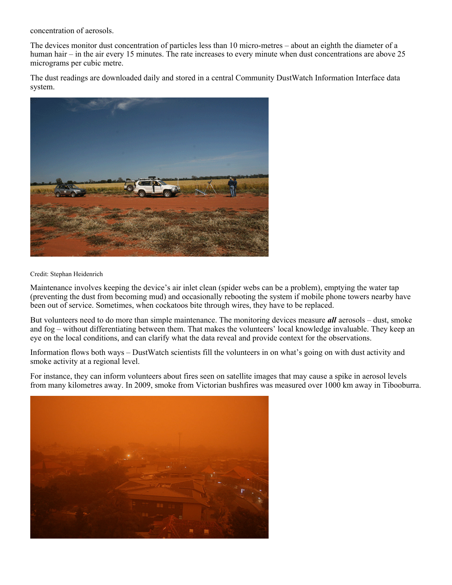concentration of aerosols.

The devices monitor dust concentration of particles less than 10 micro-metres – about an eighth the diameter of a human hair – in the air every 15 minutes. The rate increases to every minute when dust concentrations are above 25 micrograms per cubic metre.

The dust readings are downloaded daily and stored in a central Community DustWatch Information Interface data system.



Credit: Stephan Heidenrich

Maintenance involves keeping the device's air inlet clean (spider webs can be a problem), emptying the water tap (preventing the dust from becoming mud) and occasionally rebooting the system if mobile phone towers nearby have been out of service. Sometimes, when cockatoos bite through wires, they have to be replaced.

But volunteers need to do more than simple maintenance. The monitoring devices measure *all* aerosols – dust, smoke and fog – without differentiating between them. That makes the volunteers' local knowledge invaluable. They keep an eye on the local conditions, and can clarify what the data reveal and provide context for the observations.

Information flows both ways – DustWatch scientists fill the volunteers in on what's going on with dust activity and smoke activity at a regional level.

For instance, they can inform volunteers about fires seen on satellite images that may cause a spike in aerosol levels from many kilometres away. In 2009, smoke from Victorian bushfires was measured over 1000 km away in Tibooburra.